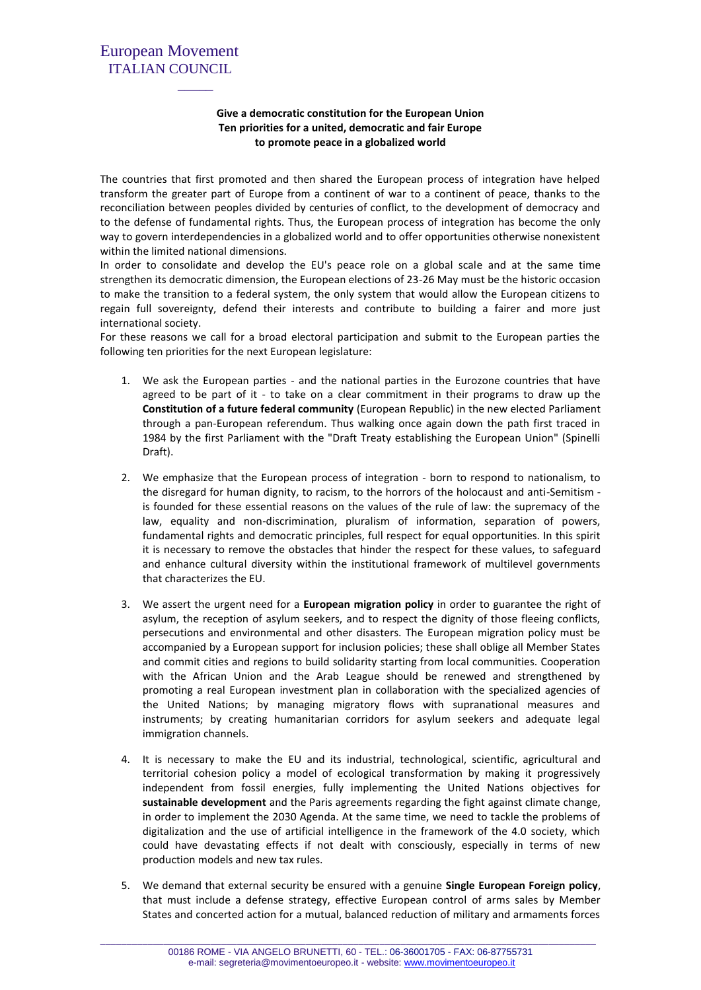## European Movement ITALIAN COUNCIL

 $\mathcal{L}_\text{max}$  and  $\mathcal{L}_\text{max}$  and  $\mathcal{L}_\text{max}$ 

## **Give a democratic constitution for the European Union Ten priorities for a united, democratic and fair Europe to promote peace in a globalized world**

The countries that first promoted and then shared the European process of integration have helped transform the greater part of Europe from a continent of war to a continent of peace, thanks to the reconciliation between peoples divided by centuries of conflict, to the development of democracy and to the defense of fundamental rights. Thus, the European process of integration has become the only way to govern interdependencies in a globalized world and to offer opportunities otherwise nonexistent within the limited national dimensions.

In order to consolidate and develop the EU's peace role on a global scale and at the same time strengthen its democratic dimension, the European elections of 23-26 May must be the historic occasion to make the transition to a federal system, the only system that would allow the European citizens to regain full sovereignty, defend their interests and contribute to building a fairer and more just international society.

For these reasons we call for a broad electoral participation and submit to the European parties the following ten priorities for the next European legislature:

- 1. We ask the European parties and the national parties in the Eurozone countries that have agreed to be part of it - to take on a clear commitment in their programs to draw up the **Constitution of a future federal community** (European Republic) in the new elected Parliament through a pan-European referendum. Thus walking once again down the path first traced in 1984 by the first Parliament with the "Draft Treaty establishing the European Union" (Spinelli Draft).
- 2. We emphasize that the European process of integration born to respond to nationalism, to the disregard for human dignity, to racism, to the horrors of the holocaust and anti-Semitism is founded for these essential reasons on the values of the rule of law: the supremacy of the law, equality and non-discrimination, pluralism of information, separation of powers, fundamental rights and democratic principles, full respect for equal opportunities. In this spirit it is necessary to remove the obstacles that hinder the respect for these values, to safeguard and enhance cultural diversity within the institutional framework of multilevel governments that characterizes the EU.
- 3. We assert the urgent need for a **European migration policy** in order to guarantee the right of asylum, the reception of asylum seekers, and to respect the dignity of those fleeing conflicts, persecutions and environmental and other disasters. The European migration policy must be accompanied by a European support for inclusion policies; these shall oblige all Member States and commit cities and regions to build solidarity starting from local communities. Cooperation with the African Union and the Arab League should be renewed and strengthened by promoting a real European investment plan in collaboration with the specialized agencies of the United Nations; by managing migratory flows with supranational measures and instruments; by creating humanitarian corridors for asylum seekers and adequate legal immigration channels.
- 4. It is necessary to make the EU and its industrial, technological, scientific, agricultural and territorial cohesion policy a model of ecological transformation by making it progressively independent from fossil energies, fully implementing the United Nations objectives for **sustainable development** and the Paris agreements regarding the fight against climate change, in order to implement the 2030 Agenda. At the same time, we need to tackle the problems of digitalization and the use of artificial intelligence in the framework of the 4.0 society, which could have devastating effects if not dealt with consciously, especially in terms of new production models and new tax rules.
- 5. We demand that external security be ensured with a genuine **Single European Foreign policy**, that must include a defense strategy, effective European control of arms sales by Member States and concerted action for a mutual, balanced reduction of military and armaments forces